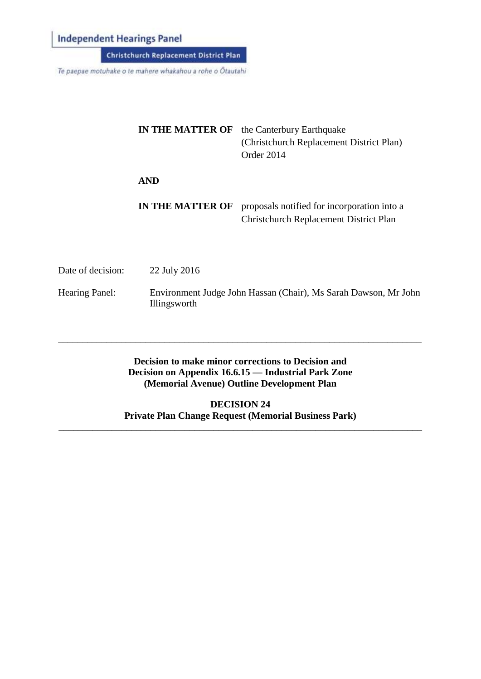**Independent Hearings Panel** 

Christchurch Replacement District Plan

Te paepae motuhake o te mahere whakahou a rohe o Ötautahi

| <b>IN THE MATTER OF</b> | the Canterbury Earthquake<br>(Christchurch Replacement District Plan)<br>Order 2014          |
|-------------------------|----------------------------------------------------------------------------------------------|
| <b>AND</b>              |                                                                                              |
| IN THE MATTER OF        | proposals notified for incorporation into a<br><b>Christchurch Replacement District Plan</b> |

Date of decision: 22 July 2016

Hearing Panel: Environment Judge John Hassan (Chair), Ms Sarah Dawson, Mr John Illingsworth

## **Decision to make minor corrections to Decision and Decision on Appendix 16.6.15 — Industrial Park Zone (Memorial Avenue) Outline Development Plan**

\_\_\_\_\_\_\_\_\_\_\_\_\_\_\_\_\_\_\_\_\_\_\_\_\_\_\_\_\_\_\_\_\_\_\_\_\_\_\_\_\_\_\_\_\_\_\_\_\_\_\_\_\_\_\_\_\_\_\_\_\_\_\_\_\_\_\_\_\_\_\_\_\_\_\_

**DECISION 24 Private Plan Change Request (Memorial Business Park)**

\_\_\_\_\_\_\_\_\_\_\_\_\_\_\_\_\_\_\_\_\_\_\_\_\_\_\_\_\_\_\_\_\_\_\_\_\_\_\_\_\_\_\_\_\_\_\_\_\_\_\_\_\_\_\_\_\_\_\_\_\_\_\_\_\_\_\_\_\_\_\_\_\_\_\_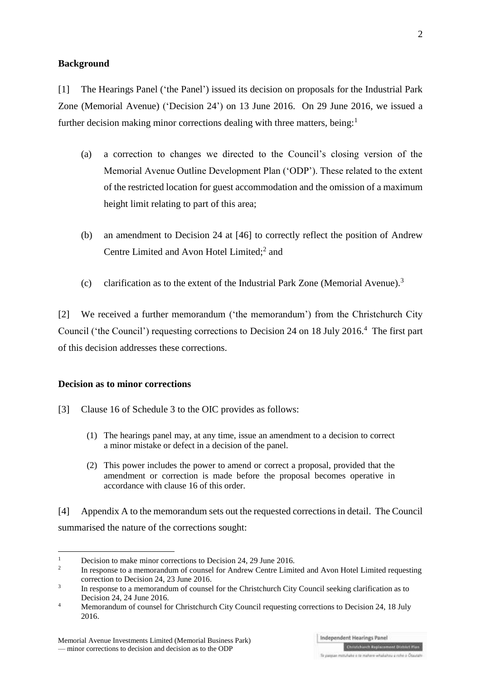### **Background**

[1] The Hearings Panel ('the Panel') issued its decision on proposals for the Industrial Park Zone (Memorial Avenue) ('Decision 24') on 13 June 2016. On 29 June 2016, we issued a further decision making minor corrections dealing with three matters, being: $<sup>1</sup>$ </sup>

- (a) a correction to changes we directed to the Council's closing version of the Memorial Avenue Outline Development Plan ('ODP'). These related to the extent of the restricted location for guest accommodation and the omission of a maximum height limit relating to part of this area;
- (b) an amendment to Decision 24 at [46] to correctly reflect the position of Andrew Centre Limited and Avon Hotel Limited;<sup>2</sup> and
- (c) clarification as to the extent of the Industrial Park Zone (Memorial Avenue).<sup>3</sup>

[2] We received a further memorandum ('the memorandum') from the Christchurch City Council ('the Council') requesting corrections to Decision 24 on 18 July 2016.<sup>4</sup> The first part of this decision addresses these corrections.

### **Decision as to minor corrections**

- [3] Clause 16 of Schedule 3 to the OIC provides as follows:
	- (1) The hearings panel may, at any time, issue an amendment to a decision to correct a minor mistake or defect in a decision of the panel.
	- (2) This power includes the power to amend or correct a proposal, provided that the amendment or correction is made before the proposal becomes operative in accordance with [clause 16](http://www.legislation.govt.nz/regulation/public/2014/0228/latest/whole.html#DLM6189936) of this order.

[4] Appendix A to the memorandum sets out the requested corrections in detail. The Council summarised the nature of the corrections sought:

Te parenze motuliate o te matiere whalatery a robe o Ossutate

 $\frac{1}{1}$ Decision to make minor corrections to Decision 24, 29 June 2016.

<sup>2</sup> In response to a memorandum of counsel for Andrew Centre Limited and Avon Hotel Limited requesting correction to Decision 24, 23 June 2016.

<sup>3</sup> In response to a memorandum of counsel for the Christchurch City Council seeking clarification as to Decision 24, 24 June 2016.

<sup>&</sup>lt;sup>4</sup> Memorandum of counsel for Christchurch City Council requesting corrections to Decision 24, 18 July 2016.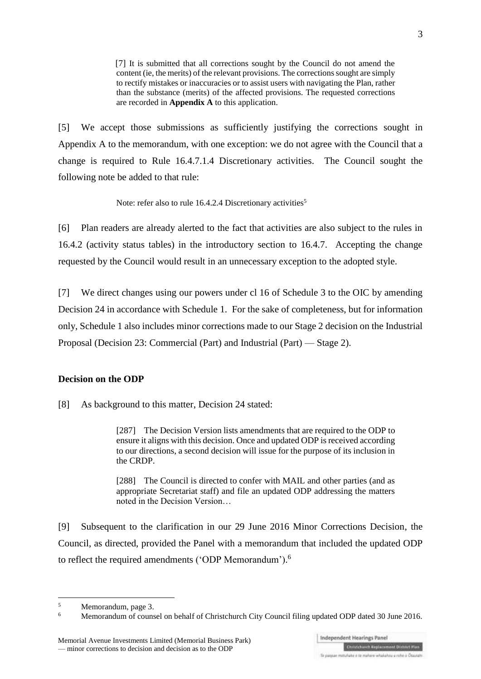[7] It is submitted that all corrections sought by the Council do not amend the content (ie, the merits) of the relevant provisions. The corrections sought are simply to rectify mistakes or inaccuracies or to assist users with navigating the Plan, rather than the substance (merits) of the affected provisions. The requested corrections are recorded in **Appendix A** to this application.

[5] We accept those submissions as sufficiently justifying the corrections sought in Appendix A to the memorandum, with one exception: we do not agree with the Council that a change is required to Rule 16.4.7.1.4 Discretionary activities. The Council sought the following note be added to that rule:

Note: refer also to rule 16.4.2.4 Discretionary activities<sup>5</sup>

[6] Plan readers are already alerted to the fact that activities are also subject to the rules in 16.4.2 (activity status tables) in the introductory section to 16.4.7. Accepting the change requested by the Council would result in an unnecessary exception to the adopted style.

[7] We direct changes using our powers under cl 16 of Schedule 3 to the OIC by amending Decision 24 in accordance with Schedule 1. For the sake of completeness, but for information only, Schedule 1 also includes minor corrections made to our Stage 2 decision on the Industrial Proposal (Decision 23: Commercial (Part) and Industrial (Part) — Stage 2).

#### **Decision on the ODP**

[8] As background to this matter, Decision 24 stated:

[287] The Decision Version lists amendments that are required to the ODP to ensure it aligns with this decision. Once and updated ODP is received according to our directions, a second decision will issue for the purpose of its inclusion in the CRDP.

[288] The Council is directed to confer with MAIL and other parties (and as appropriate Secretariat staff) and file an updated ODP addressing the matters noted in the Decision Version…

[9] Subsequent to the clarification in our 29 June 2016 Minor Corrections Decision, the Council, as directed, provided the Panel with a memorandum that included the updated ODP to reflect the required amendments ('ODP Memorandum'). 6

1

<sup>5</sup> Memorandum, page 3.

<sup>&</sup>lt;sup>6</sup> Memorandum of counsel on behalf of Christchurch City Council filing updated ODP dated 30 June 2016.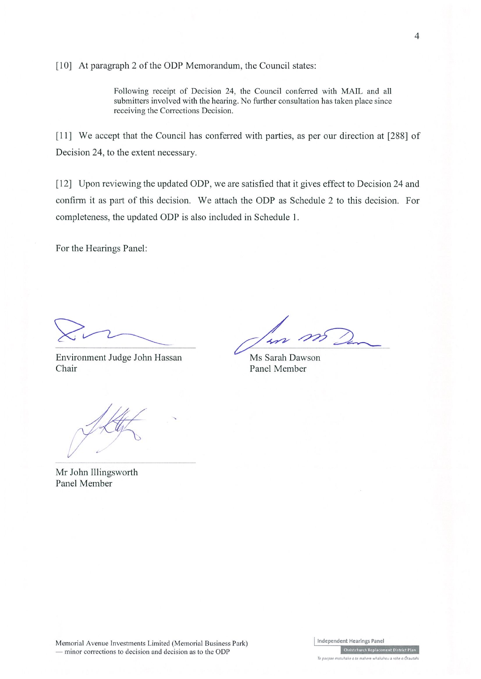[10] At paragraph 2 of the ODP Memorandum, the Council states:

Following receipt of Decision 24, the Council conferred with MAIL and all submitters involved with the hearing. No further consultation has taken place since receiving the Corrections Decision.

[11] We accept that the Council has conferred with parties, as per our direction at [288] of Decision 24, to the extent necessary.

[12] Upon reviewing the updated ODP, we are satisfied that it gives effect to Decision 24 and confirm it as part of this decision. We attach the ODP as Schedule 2 to this decision. For completeness, the updated ODP is also included in Schedule 1.

For the Hearings Panel:

Environment Judge John Hassan Chair

 $\rightarrow$ 

Ms Sarah Dawson Panel Member

- minor corrections to decision and decision as to the ODP

Mr John Illingsworth Panel Member

Independent Hearings Panel Memorial Avenue Investments Limited (Memorial Business Park) -<br>Christchurch Replacement District Plan

Te paepae motuhake o te mahere whakahou a rohe o Ōtautah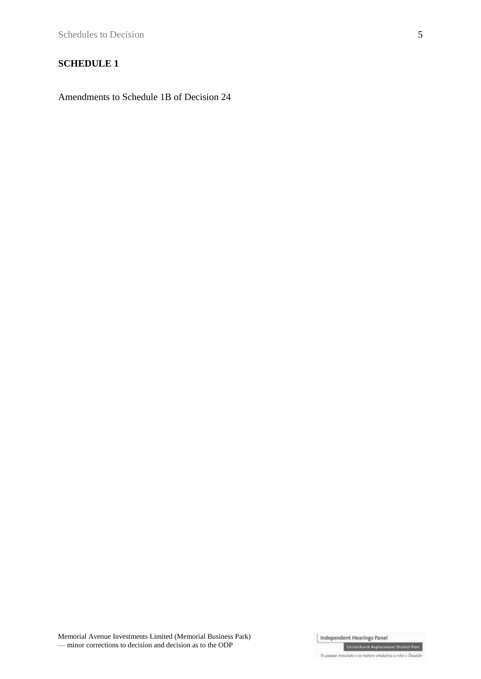## **SCHEDULE 1**

Amendments to Schedule 1B of Decision 24

Memorial Avenue Investments Limited (Memorial Business Park) — minor corrections to decision and decision as to the ODP

Independent Hearings Panel

**Christchurch Replacement District Flan** Te pagae mituliale e te maliere whalalmu a relie o Otautati